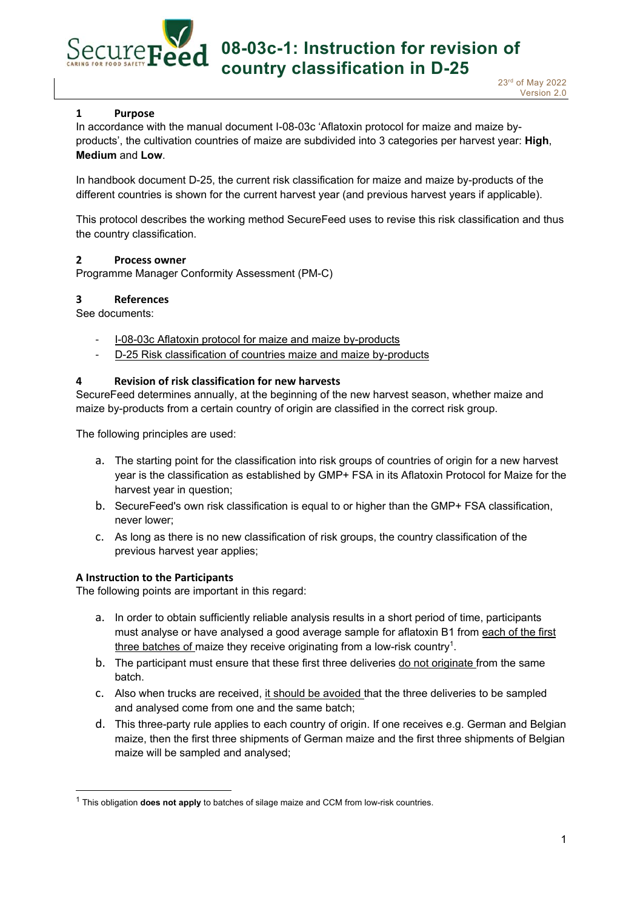# **08-03c-1: Instruction for revision of country classification in D-25**

23rd of May 2022 Version 2.0

# **1 Purpose**

Securers

In accordance with the manual document I-08-03c 'Aflatoxin protocol for maize and maize byproducts', the cultivation countries of maize are subdivided into 3 categories per harvest year: **High**, **Medium** and **Low**.

In handbook document D-25, the current risk classification for maize and maize by-products of the different countries is shown for the current harvest year (and previous harvest years if applicable).

This protocol describes the working method SecureFeed uses to revise this risk classification and thus the country classification.

# **2 Process owner**

Programme Manager Conformity Assessment (PM-C)

# **3 References**

See documents:

- ‐ I-08-03c Aflatoxin protocol for maize and maize by-products
- ‐ D-25 Risk classification of countries maize and maize by-products

# **4 Revision of risk classification for new harvests**

SecureFeed determines annually, at the beginning of the new harvest season, whether maize and maize by-products from a certain country of origin are classified in the correct risk group.

The following principles are used:

- a. The starting point for the classification into risk groups of countries of origin for a new harvest year is the classification as established by GMP+ FSA in its Aflatoxin Protocol for Maize for the harvest year in question;
- b. SecureFeed's own risk classification is equal to or higher than the GMP+ FSA classification, never lower;
- c. As long as there is no new classification of risk groups, the country classification of the previous harvest year applies;

# **A Instruction to the Participants**

The following points are important in this regard:

- a. In order to obtain sufficiently reliable analysis results in a short period of time, participants must analyse or have analysed a good average sample for aflatoxin B1 from each of the first three batches of maize they receive originating from a low-risk country<sup>1</sup>.
- b. The participant must ensure that these first three deliveries do not originate from the same batch.
- c. Also when trucks are received, it should be avoided that the three deliveries to be sampled and analysed come from one and the same batch;
- d. This three-party rule applies to each country of origin. If one receives e.g. German and Belgian maize, then the first three shipments of German maize and the first three shipments of Belgian maize will be sampled and analysed;

<sup>1</sup> This obligation **does not apply** to batches of silage maize and CCM from low-risk countries.